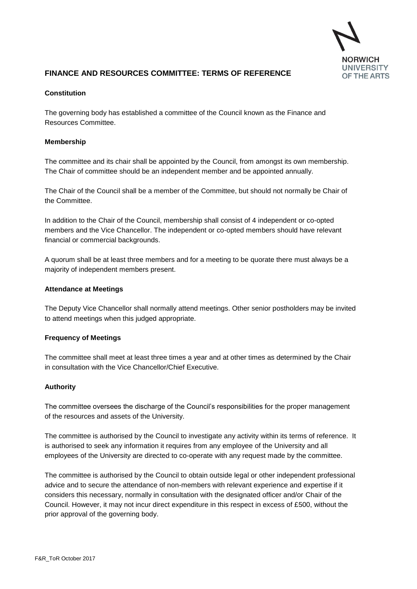

# **FINANCE AND RESOURCES COMMITTEE: TERMS OF REFERENCE**

# **Constitution**

The governing body has established a committee of the Council known as the Finance and Resources Committee.

### **Membership**

The committee and its chair shall be appointed by the Council, from amongst its own membership. The Chair of committee should be an independent member and be appointed annually.

The Chair of the Council shall be a member of the Committee, but should not normally be Chair of the Committee.

In addition to the Chair of the Council, membership shall consist of 4 independent or co-opted members and the Vice Chancellor. The independent or co-opted members should have relevant financial or commercial backgrounds.

A quorum shall be at least three members and for a meeting to be quorate there must always be a majority of independent members present.

#### **Attendance at Meetings**

The Deputy Vice Chancellor shall normally attend meetings. Other senior postholders may be invited to attend meetings when this judged appropriate.

#### **Frequency of Meetings**

The committee shall meet at least three times a year and at other times as determined by the Chair in consultation with the Vice Chancellor/Chief Executive.

#### **Authority**

The committee oversees the discharge of the Council's responsibilities for the proper management of the resources and assets of the University.

The committee is authorised by the Council to investigate any activity within its terms of reference. It is authorised to seek any information it requires from any employee of the University and all employees of the University are directed to co-operate with any request made by the committee.

The committee is authorised by the Council to obtain outside legal or other independent professional advice and to secure the attendance of non-members with relevant experience and expertise if it considers this necessary, normally in consultation with the designated officer and/or Chair of the Council. However, it may not incur direct expenditure in this respect in excess of £500, without the prior approval of the governing body.